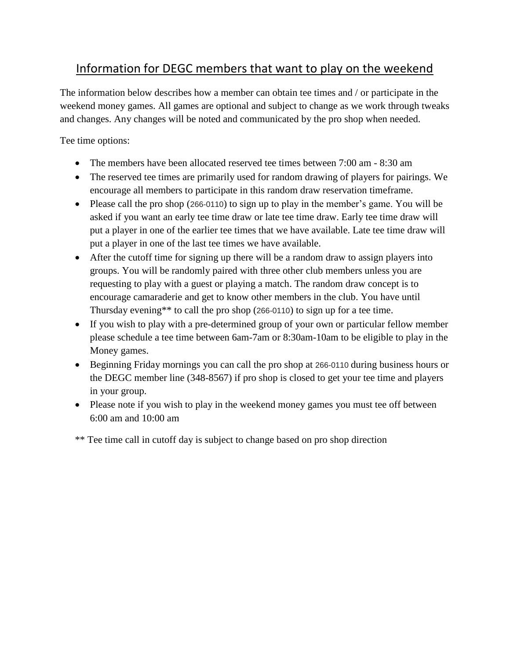## Information for DEGC members that want to play on the weekend

The information below describes how a member can obtain tee times and / or participate in the weekend money games. All games are optional and subject to change as we work through tweaks and changes. Any changes will be noted and communicated by the pro shop when needed.

Tee time options:

- The members have been allocated reserved tee times between  $7:00$  am  $8:30$  am
- The reserved tee times are primarily used for random drawing of players for pairings. We encourage all members to participate in this random draw reservation timeframe.
- Please call the pro shop (266-0110) to sign up to play in the member's game. You will be asked if you want an early tee time draw or late tee time draw. Early tee time draw will put a player in one of the earlier tee times that we have available. Late tee time draw will put a player in one of the last tee times we have available.
- After the cutoff time for signing up there will be a random draw to assign players into groups. You will be randomly paired with three other club members unless you are requesting to play with a guest or playing a match. The random draw concept is to encourage camaraderie and get to know other members in the club. You have until Thursday evening\*\* to call the pro shop (266-0110) to sign up for a tee time.
- If you wish to play with a pre-determined group of your own or particular fellow member please schedule a tee time between 6am-7am or 8:30am-10am to be eligible to play in the Money games.
- Beginning Friday mornings you can call the pro shop at 266-0110 during business hours or the DEGC member line (348-8567) if pro shop is closed to get your tee time and players in your group.
- Please note if you wish to play in the weekend money games you must tee off between 6:00 am and 10:00 am

\*\* Tee time call in cutoff day is subject to change based on pro shop direction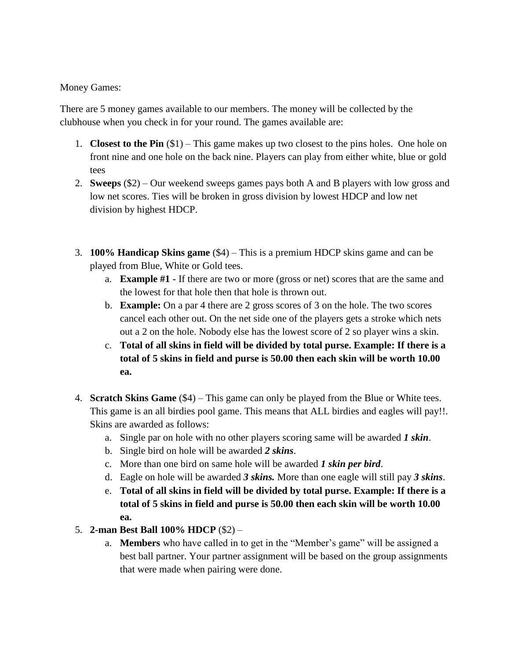Money Games:

There are 5 money games available to our members. The money will be collected by the clubhouse when you check in for your round. The games available are:

- 1. **Closest to the Pin** (\$1) This game makes up two closest to the pins holes. One hole on front nine and one hole on the back nine. Players can play from either white, blue or gold tees
- 2. **Sweeps** (\$2) Our weekend sweeps games pays both A and B players with low gross and low net scores. Ties will be broken in gross division by lowest HDCP and low net division by highest HDCP.
- 3. **100% Handicap Skins game** (\$4) This is a premium HDCP skins game and can be played from Blue, White or Gold tees.
	- a. **Example #1 -** If there are two or more (gross or net) scores that are the same and the lowest for that hole then that hole is thrown out.
	- b. **Example:** On a par 4 there are 2 gross scores of 3 on the hole. The two scores cancel each other out. On the net side one of the players gets a stroke which nets out a 2 on the hole. Nobody else has the lowest score of 2 so player wins a skin.
	- c. **Total of all skins in field will be divided by total purse. Example: If there is a total of 5 skins in field and purse is 50.00 then each skin will be worth 10.00 ea.**
- 4. **Scratch Skins Game** (\$4) This game can only be played from the Blue or White tees. This game is an all birdies pool game. This means that ALL birdies and eagles will pay!!. Skins are awarded as follows:
	- a. Single par on hole with no other players scoring same will be awarded *1 skin*.
	- b. Single bird on hole will be awarded *2 skins*.
	- c. More than one bird on same hole will be awarded *1 skin per bird*.
	- d. Eagle on hole will be awarded *3 skins.* More than one eagle will still pay *3 skins*.
	- e. **Total of all skins in field will be divided by total purse. Example: If there is a total of 5 skins in field and purse is 50.00 then each skin will be worth 10.00 ea.**
- 5. **2-man Best Ball 100% HDCP** (\$2)
	- a. **Members** who have called in to get in the "Member's game" will be assigned a best ball partner. Your partner assignment will be based on the group assignments that were made when pairing were done.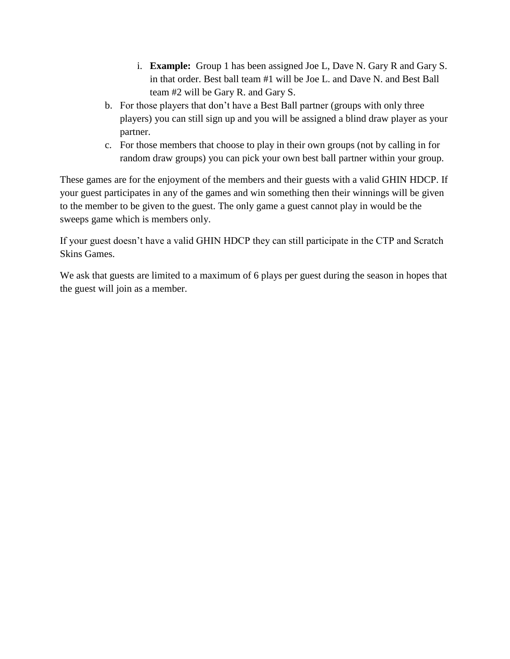- i. **Example:** Group 1 has been assigned Joe L, Dave N. Gary R and Gary S. in that order. Best ball team #1 will be Joe L. and Dave N. and Best Ball team #2 will be Gary R. and Gary S.
- b. For those players that don't have a Best Ball partner (groups with only three players) you can still sign up and you will be assigned a blind draw player as your partner.
- c. For those members that choose to play in their own groups (not by calling in for random draw groups) you can pick your own best ball partner within your group.

These games are for the enjoyment of the members and their guests with a valid GHIN HDCP. If your guest participates in any of the games and win something then their winnings will be given to the member to be given to the guest. The only game a guest cannot play in would be the sweeps game which is members only.

If your guest doesn't have a valid GHIN HDCP they can still participate in the CTP and Scratch Skins Games.

We ask that guests are limited to a maximum of 6 plays per guest during the season in hopes that the guest will join as a member.